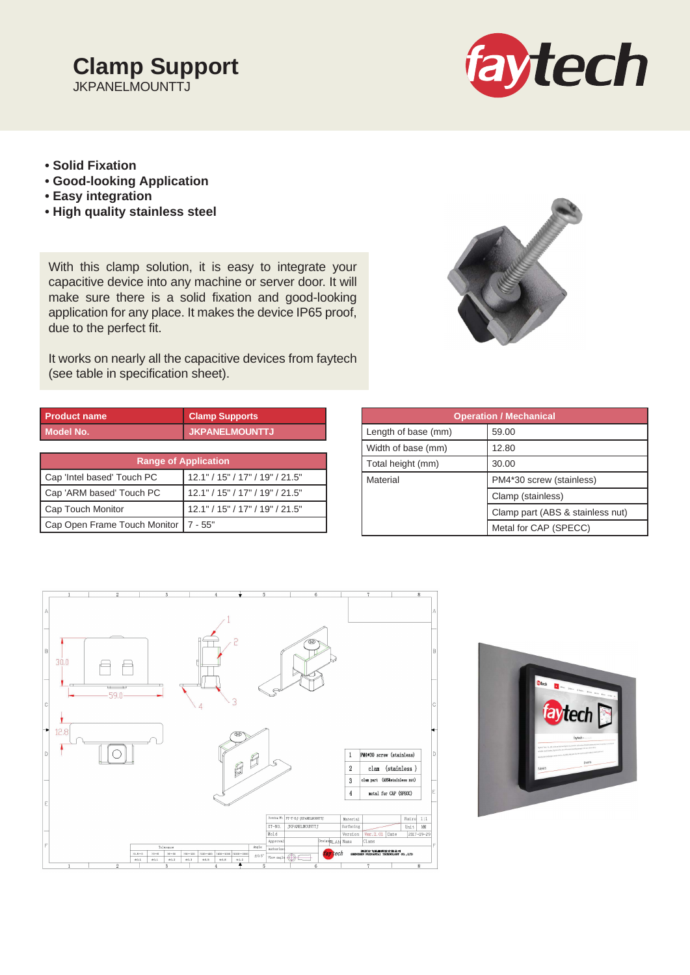# **Clamp Support JKPANELMOUNTTJ**



- **Solid Fixation**
- **Good-looking Application**
- **Easy integration**
- **High quality stainless steel**

With this clamp solution, it is easy to integrate your capacitive device into any machine or server door. It will make sure there is a solid fixation and good-looking application for any place. It makes the device IP65 proof, due to the perfect fit.

It works on nearly all the capacitive devices from faytech (see table in specification sheet).



| <b>Product name</b>          | <b>Clamp Supports</b>           |  |  |  |
|------------------------------|---------------------------------|--|--|--|
| <b>Model No.</b>             | <b>JKPANELMOUNTTJ</b>           |  |  |  |
|                              |                                 |  |  |  |
| <b>Range of Application</b>  |                                 |  |  |  |
| Cap 'Intel based' Touch PC   | 12.1" / 15" / 17" / 19" / 21.5" |  |  |  |
| Cap 'ARM based' Touch PC     | 12.1" / 15" / 17" / 19" / 21.5" |  |  |  |
| Cap Touch Monitor            | 12.1" / 15" / 17" / 19" / 21.5" |  |  |  |
| Cap Open Frame Touch Monitor | $7 - 55"$                       |  |  |  |

| <b>Clamp Supports</b>           | <b>Operation / Mechanical</b> |                                  |
|---------------------------------|-------------------------------|----------------------------------|
| <b>JKPANELMOUNTTJ</b>           | Length of base (mm)           | 59.00                            |
|                                 | Width of base (mm)            | 12.80                            |
| plication                       | Total height (mm)             | 30.00                            |
| 12.1" / 15" / 17" / 19" / 21.5" | Material                      | PM4*30 screw (stainless)         |
| 12.1" / 15" / 17" / 19" / 21.5" |                               | Clamp (stainless)                |
| 12.1" / 15" / 17" / 19" / 21.5" |                               | Clamp part (ABS & stainless nut) |
| 7 - 55"                         |                               | Metal for CAP (SPECC)            |